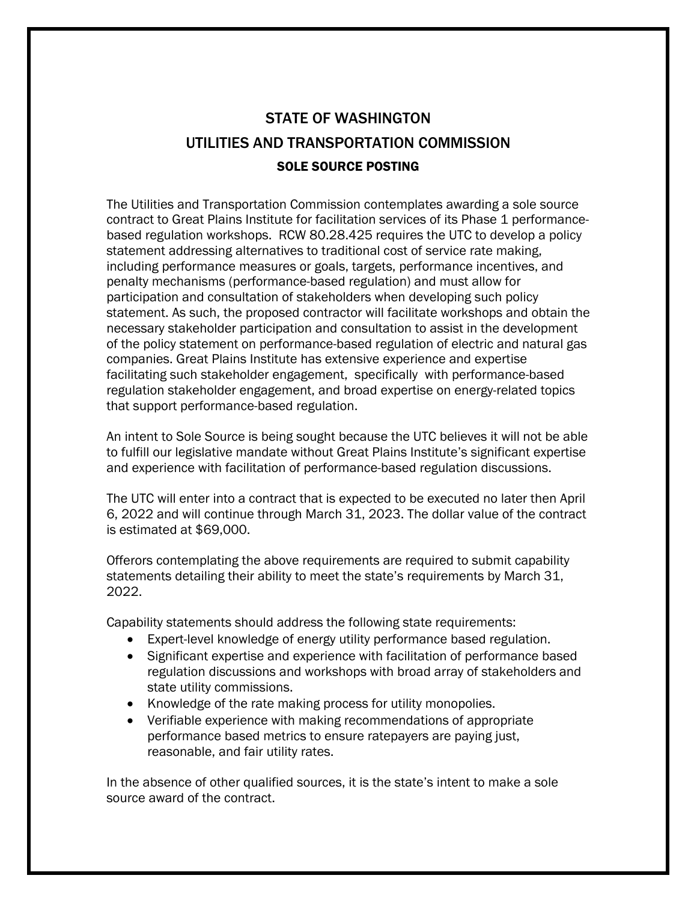## STATE OF WASHINGTON UTILITIES AND TRANSPORTATION COMMISSION SOLE SOURCE POSTING

The Utilities and Transportation Commission contemplates awarding a sole source contract to Great Plains Institute for facilitation services of its Phase 1 performancebased regulation workshops. RCW 80.28.425 requires the UTC to develop a policy statement addressing alternatives to traditional cost of service rate making, including performance measures or goals, targets, performance incentives, and penalty mechanisms (performance-based regulation) and must allow for participation and consultation of stakeholders when developing such policy statement. As such, the proposed contractor will facilitate workshops and obtain the necessary stakeholder participation and consultation to assist in the development of the policy statement on performance-based regulation of electric and natural gas companies. Great Plains Institute has extensive experience and expertise facilitating such stakeholder engagement, specifically with performance-based regulation stakeholder engagement, and broad expertise on energy-related topics that support performance-based regulation.

An intent to Sole Source is being sought because the UTC believes it will not be able to fulfill our legislative mandate without Great Plains Institute's significant expertise and experience with facilitation of performance-based regulation discussions.

The UTC will enter into a contract that is expected to be executed no later then April 6, 2022 and will continue through March 31, 2023. The dollar value of the contract is estimated at \$69,000.

Offerors contemplating the above requirements are required to submit capability statements detailing their ability to meet the state's requirements by March 31, 2022.

Capability statements should address the following state requirements:

- Expert-level knowledge of energy utility performance based regulation.
- Significant expertise and experience with facilitation of performance based regulation discussions and workshops with broad array of stakeholders and state utility commissions.
- Knowledge of the rate making process for utility monopolies.
- Verifiable experience with making recommendations of appropriate performance based metrics to ensure ratepayers are paying just, reasonable, and fair utility rates.

In the absence of other qualified sources, it is the state's intent to make a sole source award of the contract.